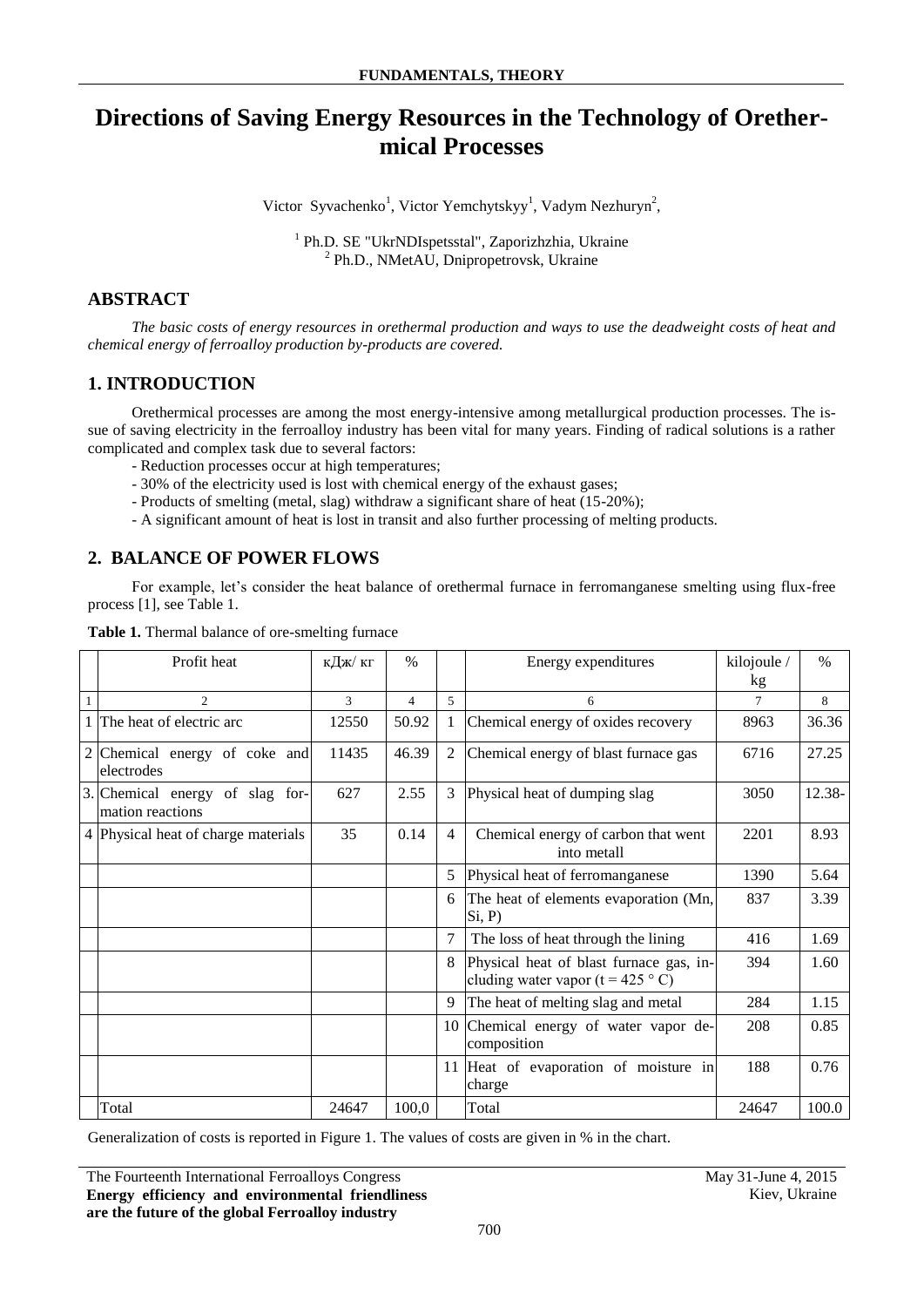# **Directions of Saving Energy Resources in the Technology of Orethermical Processes**

Victor Syvachenko<sup>1</sup>, Victor Yemchytskyy<sup>1</sup>, Vadym Nezhuryn<sup>2</sup>,

1 Ph.D. SE "UkrNDIspetsstal", Zaporizhzhia, Ukraine 2 Ph.D., NMetAU, Dnipropetrovsk, Ukraine

## **ABSTRACT**

*The basic costs of energy resources in orethermal production and ways to use the deadweight costs of heat and chemical energy of ferroalloy production by-products are covered.*

# **1. INTRODUCTION**

Orethermical processes are among the most energy-intensive among metallurgical production processes. The issue of saving electricity in the ferroalloy industry has been vital for many years. Finding of radical solutions is a rather complicated and complex task due to several factors:

- Reduction processes occur at high temperatures;
- 30% of the electricity used is lost with chemical energy of the exhaust gases;
- Products of smelting (metal, slag) withdraw a significant share of heat (15-20%);
- A significant amount of heat is lost in transit and also further processing of melting products.

# **2. BALANCE OF POWER FLOWS**

For example, let's consider the heat balance of orethermal furnace in ferromanganese smelting using flux-free process [1], see Table 1.

|              | Profit heat                                         | кДж/кг | $\%$           |                | Energy expenditures                                                            | kilojoule/ | $\%$   |
|--------------|-----------------------------------------------------|--------|----------------|----------------|--------------------------------------------------------------------------------|------------|--------|
|              |                                                     |        |                |                |                                                                                | kg         |        |
| $\mathbf{1}$ | $\overline{c}$                                      | 3      | $\overline{4}$ | 5              | 6                                                                              | 7          | 8      |
|              | 1 The heat of electric arc                          | 12550  | 50.92          | $\mathbf{1}$   | Chemical energy of oxides recovery                                             | 8963       | 36.36  |
|              | 2 Chemical energy of coke and<br>electrodes         | 11435  | 46.39          | $\overline{2}$ | Chemical energy of blast furnace gas                                           | 6716       | 27.25  |
|              | 3. Chemical energy of slag for-<br>mation reactions | 627    | 2.55           | 3              | Physical heat of dumping slag                                                  | 3050       | 12.38- |
|              | 4 Physical heat of charge materials                 | 35     | 0.14           | $\overline{4}$ | Chemical energy of carbon that went<br>into metall                             | 2201       | 8.93   |
|              |                                                     |        |                | 5              | Physical heat of ferromanganese                                                | 1390       | 5.64   |
|              |                                                     |        |                |                | The heat of elements evaporation (Mn,<br>Si, P)                                | 837        | 3.39   |
|              |                                                     |        |                | $\tau$         | The loss of heat through the lining                                            | 416        | 1.69   |
|              |                                                     |        |                | 8              | Physical heat of blast furnace gas, in-<br>cluding water vapor ( $t = 425$ °C) | 394        | 1.60   |
|              |                                                     |        |                | 9              | The heat of melting slag and metal                                             | 284        | 1.15   |
|              |                                                     |        |                |                | 10 Chemical energy of water vapor de-<br>composition                           | 208        | 0.85   |
|              |                                                     |        |                |                | 11 Heat of evaporation of moisture in<br>charge                                | 188        | 0.76   |
|              | Total                                               | 24647  | 100,0          |                | Total                                                                          | 24647      | 100.0  |

**Table 1.** Thermal balance of ore-smelting furnace

Generalization of costs is reported in Figure 1. The values of costs are given in % in the chart.

The Fourteenth International Ferroalloys Congress May 31-June 4, 2015 **Energy efficiency and environmental friendliness are the future of the global Ferroalloy industry**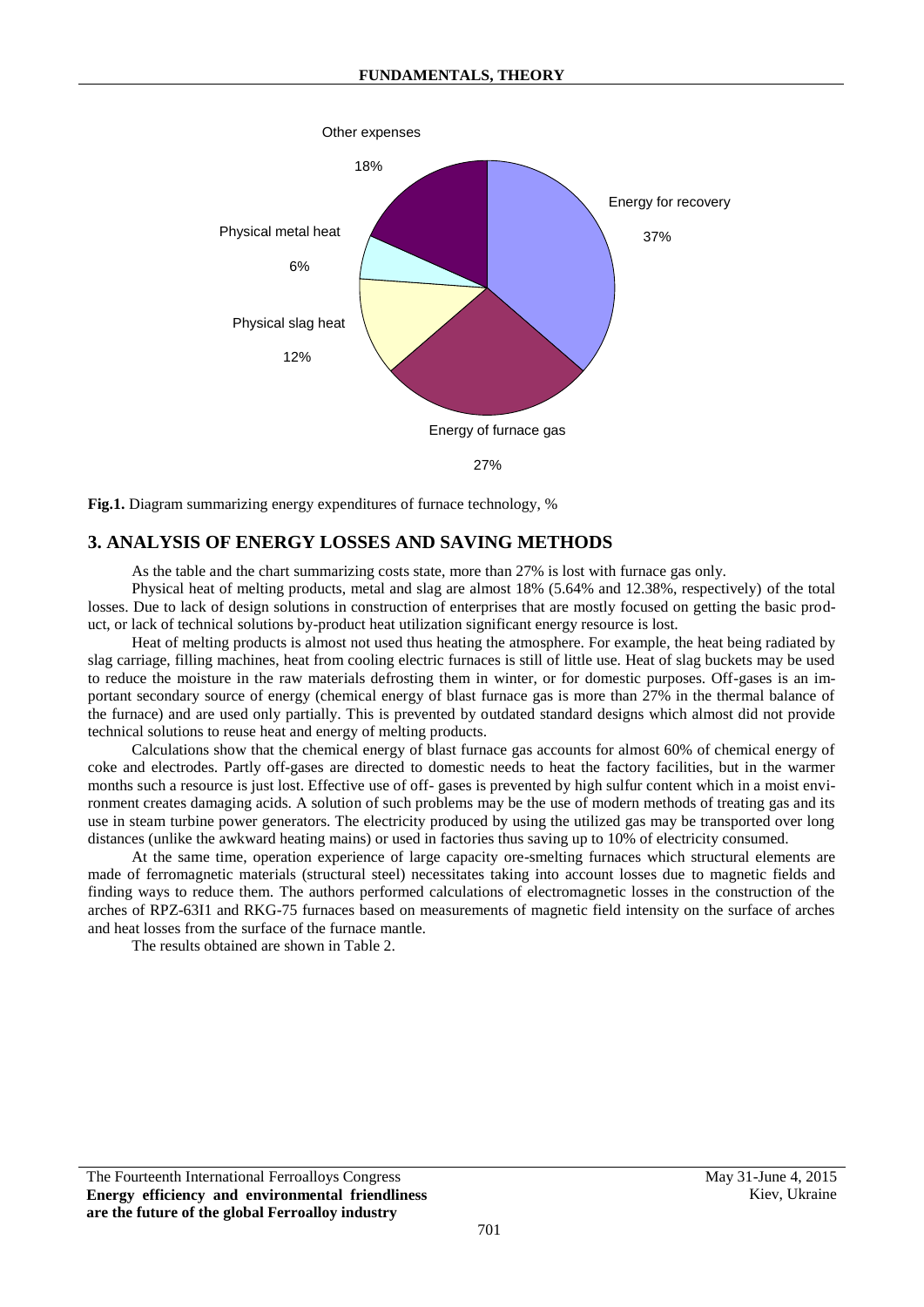

**Fig.1.** Diagram summarizing energy expenditures of furnace technology, %

#### **3. ANALYSIS OF ENERGY LOSSES AND SAVING METHODS**

As the table and the chart summarizing costs state, more than 27% is lost with furnace gas only.

Physical heat of melting products, metal and slag are almost 18% (5.64% and 12.38%, respectively) of the total losses. Due to lack of design solutions in construction of enterprises that are mostly focused on getting the basic product, or lack of technical solutions by-product heat utilization significant energy resource is lost.

Heat of melting products is almost not used thus heating the atmosphere. For example, the heat being radiated by slag carriage, filling machines, heat from cooling electric furnaces is still of little use. Heat of slag buckets may be used to reduce the moisture in the raw materials defrosting them in winter, or for domestic purposes. Off-gases is an important secondary source of energy (chemical energy of blast furnace gas is more than 27% in the thermal balance of the furnace) and are used only partially. This is prevented by outdated standard designs which almost did not provide technical solutions to reuse heat and energy of melting products.

Calculations show that the chemical energy of blast furnace gas accounts for almost 60% of chemical energy of coke and electrodes. Partly off-gases are directed to domestic needs to heat the factory facilities, but in the warmer months such a resource is just lost. Effective use of off- gases is prevented by high sulfur content which in a moist environment creates damaging acids. A solution of such problems may be the use of modern methods of treating gas and its use in steam turbine power generators. The electricity produced by using the utilized gas may be transported over long distances (unlike the awkward heating mains) or used in factories thus saving up to 10% of electricity consumed.

At the same time, operation experience of large capacity ore-smelting furnaces which structural elements are made of ferromagnetic materials (structural steel) necessitates taking into account losses due to magnetic fields and finding ways to reduce them. The authors performed calculations of electromagnetic losses in the construction of the arches of RPZ-63I1 and RKG-75 furnaces based on measurements of magnetic field intensity on the surface of arches and heat losses from the surface of the furnace mantle*.*

The results obtained are shown in Table 2.